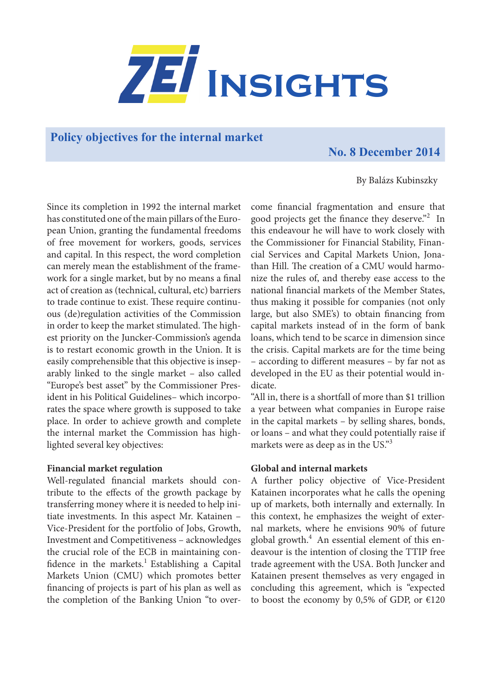

## **Policy objectives for the internal market**

# **No. 8 December 2014**

By Balázs Kubinszky

Since its completion in 1992 the internal market has constituted one of the main pillars of the European Union, granting the fundamental freedoms of free movement for workers, goods, services and capital. In this respect, the word completion can merely mean the establishment of the framework for a single market, but by no means a final act of creation as (technical, cultural, etc) barriers to trade continue to exist. These require continuous (de)regulation activities of the Commission in order to keep the market stimulated. The highest priority on the Juncker-Commission's agenda is to restart economic growth in the Union. It is easily comprehensible that this objective is inseparably linked to the single market – also called "Europe's best asset" by the Commissioner President in his Political Guidelines– which incorporates the space where growth is supposed to take place. In order to achieve growth and complete the internal market the Commission has highlighted several key objectives:

#### **Financial market regulation**

Well-regulated financial markets should contribute to the effects of the growth package by transferring money where it is needed to help initiate investments. In this aspect Mr. Katainen – Vice-President for the portfolio of Jobs, Growth, Investment and Competitiveness – acknowledges the crucial role of the ECB in maintaining confidence in the markets.<sup>1</sup> Establishing a Capital Markets Union (CMU) which promotes better financing of projects is part of his plan as well as the completion of the Banking Union "to over-

come financial fragmentation and ensure that good projects get the finance they deserve."<sup>2</sup> In this endeavour he will have to work closely with the Commissioner for Financial Stability, Financial Services and Capital Markets Union, Jonathan Hill. The creation of a CMU would harmonize the rules of, and thereby ease access to the national financial markets of the Member States, thus making it possible for companies (not only large, but also SME's) to obtain financing from capital markets instead of in the form of bank loans, which tend to be scarce in dimension since the crisis. Capital markets are for the time being – according to different measures – by far not as developed in the EU as their potential would indicate.

"All in, there is a shortfall of more than \$1 trillion a year between what companies in Europe raise in the capital markets – by selling shares, bonds, or loans – and what they could potentially raise if markets were as deep as in the US."<sup>3</sup>

#### **Global and internal markets**

A further policy objective of Vice-President Katainen incorporates what he calls the opening up of markets, both internally and externally. In this context, he emphasizes the weight of external markets, where he envisions 90% of future global growth. $4$  An essential element of this endeavour is the intention of closing the TTIP free trade agreement with the USA. Both Juncker and Katainen present themselves as very engaged in concluding this agreement, which is "expected to boost the economy by 0,5% of GDP, or  $E120$